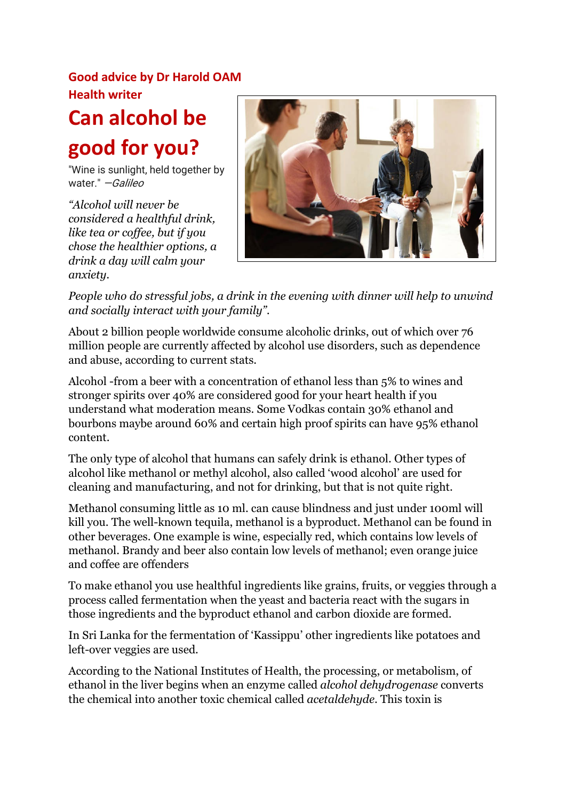# **Good advice by Dr Harold OAM Health writer**

# **Can alcohol be good for you?**

"Wine is sunlight, held together by water." *-Galileo* 

*"Alcohol will never be considered a healthful drink, like tea or coffee, but if you chose the healthier options, a drink a day will calm your anxiety.* 



*People who do stressful jobs, a drink in the evening with dinner will help to unwind and socially interact with your family".* 

About 2 billion people worldwide consume alcoholic drinks, out of which over 76 million people are currently affected by alcohol use disorders, such as dependence and abuse, according to current stats.

Alcohol -from a beer with a concentration of ethanol less than 5% to wines and stronger spirits over 40% are considered good for your heart health if you understand what moderation means. Some Vodkas contain 30% ethanol and bourbons maybe around 60% and certain high proof spirits can have 95% ethanol content.

The only type of alcohol that humans can safely drink is ethanol. Other types of alcohol like methanol or methyl alcohol, also called 'wood alcohol' are used for cleaning and manufacturing, and not for drinking, but that is not quite right.

Methanol consuming little as 10 ml. can cause blindness and just under 100ml will kill you. The well-known tequila, methanol is a byproduct. Methanol can be found in other beverages. One example is wine, especially red, which contains low levels of methanol. Brandy and beer also contain low levels of methanol; even orange juice and coffee are offenders

To make ethanol you use healthful ingredients like grains, fruits, or veggies through a process called fermentation when the yeast and bacteria react with the sugars in those ingredients and the byproduct ethanol and carbon dioxide are formed.

In Sri Lanka for the fermentation of 'Kassippu' other ingredients like potatoes and left-over veggies are used.

According to the National Institutes of Health, the processing, or metabolism, of ethanol in the liver begins when an enzyme called *alcohol dehydrogenase* converts the chemical into another toxic chemical called *acetaldehyde*. This toxin is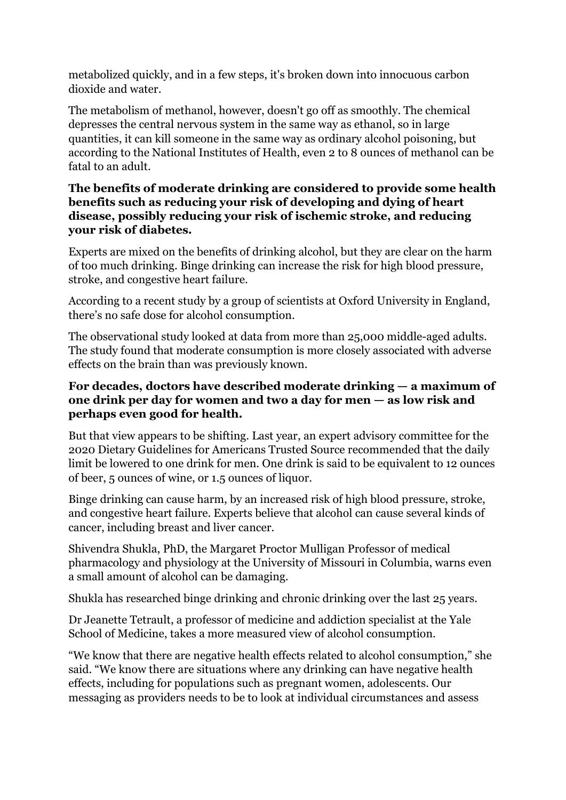metabolized quickly, and in a few steps, it's broken down into innocuous carbon dioxide and water.

The metabolism of methanol, however, doesn't go off as smoothly. The chemical depresses the central nervous system in the same way as ethanol, so in large quantities, it can kill someone in the same way as ordinary alcohol poisoning, but according to the National Institutes of Health, even 2 to 8 ounces of methanol can be fatal to an adult.

#### **The benefits of moderate drinking are considered to provide some health benefits such as reducing your risk of developing and dying of heart disease, possibly reducing your risk of ischemic stroke, and reducing your risk of diabetes.**

Experts are mixed on the benefits of drinking alcohol, but they are clear on the harm of too much drinking. Binge drinking can increase the risk for high blood pressure, stroke, and congestive heart failure.

According to a recent study by a group of scientists at Oxford University in England, there's no safe dose for alcohol consumption.

The observational study looked at data from more than 25,000 middle-aged adults. The study found that moderate consumption is more closely associated with adverse effects on the brain than was previously known.

#### **For decades, doctors have described moderate drinking — a maximum of one drink per day for women and two a day for men — as low risk and perhaps even good for health.**

But that view appears to be shifting. Last year, an expert advisory committee for the 2020 Dietary Guidelines for Americans Trusted Source recommended that the daily limit be lowered to one drink for men. One drink is said to be equivalent to 12 ounces of beer, 5 ounces of wine, or 1.5 ounces of liquor.

Binge drinking can cause harm, by an increased risk of high blood pressure, stroke, and congestive heart failure. Experts believe that alcohol can cause several kinds of cancer, including breast and liver cancer.

Shivendra Shukla, PhD, the Margaret Proctor Mulligan Professor of medical pharmacology and physiology at the University of Missouri in Columbia, warns even a small amount of alcohol can be damaging.

Shukla has researched binge drinking and chronic drinking over the last 25 years.

Dr Jeanette Tetrault, a professor of medicine and addiction specialist at the Yale School of Medicine, takes a more measured view of alcohol consumption.

"We know that there are negative health effects related to alcohol consumption," she said. "We know there are situations where any drinking can have negative health effects, including for populations such as pregnant women, adolescents. Our messaging as providers needs to be to look at individual circumstances and assess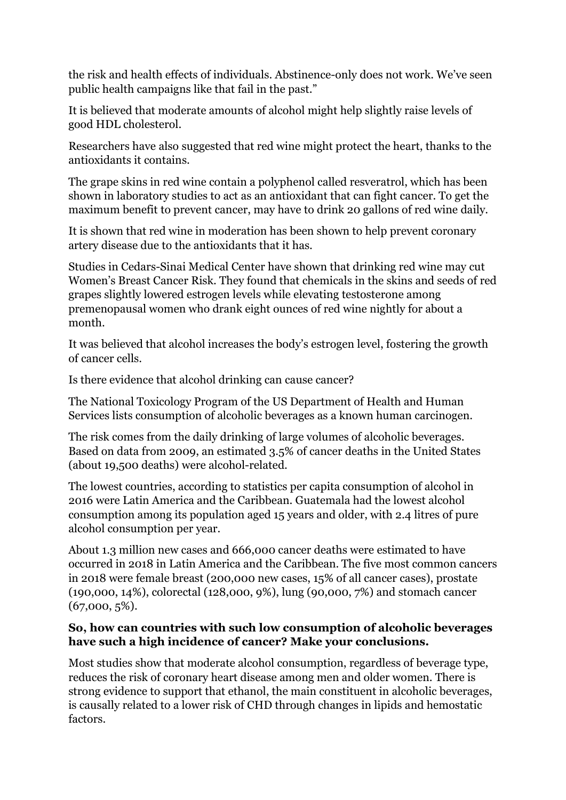the risk and health effects of individuals. Abstinence-only does not work. We've seen public health campaigns like that fail in the past."

It is believed that moderate amounts of alcohol might help slightly raise levels of good HDL cholesterol.

Researchers have also suggested that red wine might protect the heart, thanks to the antioxidants it contains.

The grape skins in red wine contain a polyphenol called resveratrol, which has been shown in laboratory studies to act as an antioxidant that can fight cancer. To get the maximum benefit to prevent cancer, may have to drink 20 gallons of red wine daily.

It is shown that red wine in moderation has been shown to help prevent coronary artery disease due to the antioxidants that it has.

Studies in Cedars-Sinai Medical Center have shown that drinking red wine may cut Women's Breast Cancer Risk. They found that chemicals in the skins and seeds of red grapes slightly lowered estrogen levels while elevating testosterone among premenopausal women who drank eight ounces of red wine nightly for about a month.

It was believed that alcohol increases the body's estrogen level, fostering the growth of cancer cells.

Is there evidence that alcohol drinking can cause cancer?

The National Toxicology Program of the US Department of Health and Human Services lists consumption of alcoholic beverages as a known human carcinogen.

The risk comes from the daily drinking of large volumes of alcoholic beverages. Based on data from 2009, an estimated 3.5% of cancer deaths in the United States (about 19,500 deaths) were alcohol-related.

The lowest countries, according to statistics per capita consumption of alcohol in 2016 were Latin America and the Caribbean. Guatemala had the lowest alcohol consumption among its population aged 15 years and older, with 2.4 litres of pure alcohol consumption per year.

About 1.3 million new cases and 666,000 cancer deaths were estimated to have occurred in 2018 in Latin America and the Caribbean. The five most common cancers in 2018 were female breast (200,000 new cases, 15% of all cancer cases), prostate (190,000, 14%), colorectal (128,000, 9%), lung (90,000, 7%) and stomach cancer (67,000, 5%).

#### **So, how can countries with such low consumption of alcoholic beverages have such a high incidence of cancer? Make your conclusions.**

Most studies show that moderate alcohol consumption, regardless of beverage type, reduces the risk of coronary heart disease among men and older women. There is strong evidence to support that ethanol, the main constituent in alcoholic beverages, is causally related to a lower risk of CHD through changes in lipids and hemostatic factors.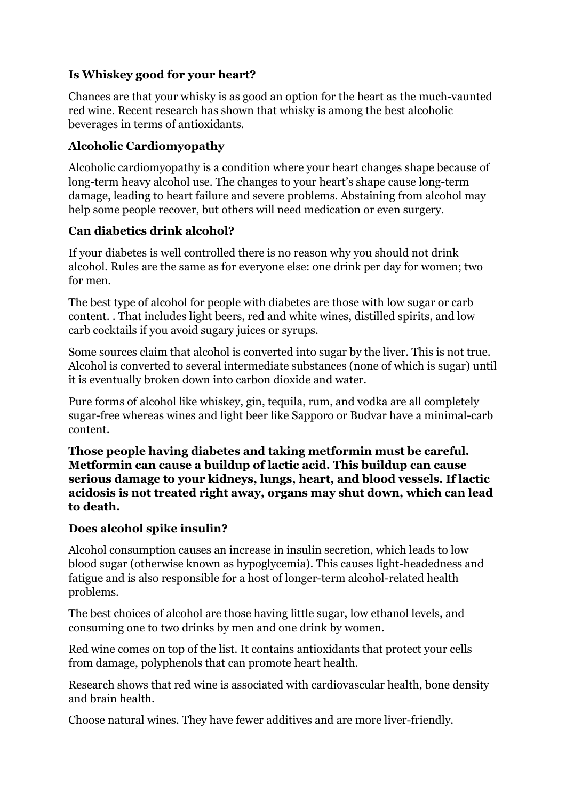## **Is Whiskey good for your heart?**

Chances are that your whisky is as good an option for the heart as the much-vaunted red wine. Recent research has shown that whisky is among the best alcoholic beverages in terms of antioxidants.

## **Alcoholic Cardiomyopathy**

Alcoholic cardiomyopathy is a condition where your heart changes shape because of long-term heavy alcohol use. The changes to your heart's shape cause long-term damage, leading to heart failure and severe problems. Abstaining from alcohol may help some people recover, but others will need medication or even surgery.

## **Can diabetics drink alcohol?**

If your diabetes is well controlled there is no reason why you should not drink alcohol. Rules are the same as for everyone else: one drink per day for women; two for men.

The best type of alcohol for people with diabetes are those with low sugar or carb content. . That includes light beers, red and white wines, distilled spirits, and low carb cocktails if you avoid sugary juices or syrups.

Some sources claim that alcohol is converted into sugar by the liver. This is not true. Alcohol is converted to several intermediate substances (none of which is sugar) until it is eventually broken down into carbon dioxide and water.

Pure forms of alcohol like whiskey, gin, tequila, rum, and vodka are all completely sugar-free whereas wines and light beer like Sapporo or Budvar have a minimal-carb content.

**Those people having diabetes and taking metformin must be careful. Metformin can cause a buildup of lactic acid. This buildup can cause serious damage to your kidneys, lungs, heart, and blood vessels. If lactic acidosis is not treated right away, organs may shut down, which can lead to death.**

## **Does alcohol spike insulin?**

Alcohol consumption causes an increase in insulin secretion, which leads to low blood sugar (otherwise known as hypoglycemia). This causes light-headedness and fatigue and is also responsible for a host of longer-term alcohol-related health problems.

The best choices of alcohol are those having little sugar, low ethanol levels, and consuming one to two drinks by men and one drink by women.

Red wine comes on top of the list. It contains antioxidants that protect your cells from damage, polyphenols that can promote heart health.

Research shows that red wine is associated with cardiovascular health, bone density and brain health.

Choose natural wines. They have fewer additives and are more liver-friendly.